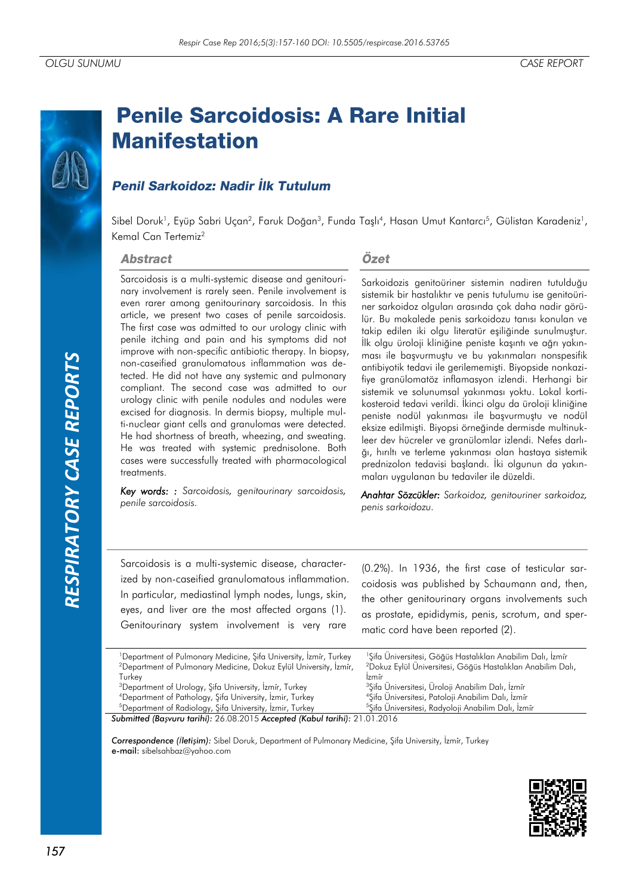# *RESPIRATORY CASE REPORTS*RESPIRATORY CASE REPORTS

# **Penile Sarcoidosis: A Rare Initial Manifestation**

## **Penil Sarkoidoz: Nadir İlk Tutulum**

Sibel Doruk<sup>1</sup>, Eyüp Sabri Uçan<sup>2</sup>, Faruk Doğan<sup>3</sup>, Funda Taşlı<sup>4</sup>, Hasan Umut Kantarcı<sup>5</sup>, Gülistan Karadeniz<sup>1</sup>, Kemal Can Tertemiz<sup>2</sup>

### **Abstract**

Sarcoidosis is a multi-systemic disease and genitourinary involvement is rarely seen. Penile involvement is even rarer among genitourinary sarcoidosis. In this article, we present two cases of penile sarcoidosis. The first case was admitted to our urology clinic with penile itching and pain and his symptoms did not improve with non-specific antibiotic therapy. In biopsy, non-caseified granulomatous inflammation was detected. He did not have any systemic and pulmonary compliant. The second case was admitted to our urology clinic with penile nodules and nodules were excised for diagnosis. In dermis biopsy, multiple multi-nuclear giant cells and granulomas were detected. He had shortness of breath, wheezing, and sweating. He was treated with systemic prednisolone. Both cases were successfully treated with pharmacological treatments.

*Key words: : Sarcoidosis, genitourinary sarcoidosis, penile sarcoidosis.*

### Özet

Sarkoidozis genitoüriner sistemin nadiren tutulduğu sistemik bir hastalıktır ve penis tutulumu ise genitoüriner sarkoidoz olguları arasında çok daha nadir görülür. Bu makalede penis sarkoidozu tanısı konulan ve takip edilen iki olgu literatür eşiliğinde sunulmuştur. İlk olgu üroloji kliniğine peniste kaşıntı ve ağrı yakınması ile başvurmuştu ve bu yakınmaları nonspesifik antibiyotik tedavi ile gerilememişti. Biyopside nonkazifiye granülomatöz inflamasyon izlendi. Herhangi bir sistemik ve solunumsal yakınması yoktu. Lokal kortikosteroid tedavi verildi. İkinci olgu da üroloji kliniğine peniste nodül yakınması ile başvurmuştu ve nodül eksize edilmişti. Biyopsi örneğinde dermisde multinukleer dev hücreler ve granülomlar izlendi. Nefes darlığı, hırıltı ve terleme yakınması olan hastaya sistemik prednizolon tedavisi başlandı. İki olgunun da yakınmaları uygulanan bu tedaviler ile düzeldi.

*Anahtar Sözcükler: Sarkoidoz, genitouriner sarkoidoz, penis sarkoidozu.*

Sarcoidosis is a multi-systemic disease, characterized by non-caseified granulomatous inflammation. In particular, mediastinal lymph nodes, lungs, skin, eyes, and liver are the most affected organs (1). Genitourinary system involvement is very rare

(0.2%). In 1936, the first case of testicular sarcoidosis was published by Schaumann and, then, the other genitourinary organs involvements such as prostate, epididymis, penis, scrotum, and spermatic cord have been reported (2).

| <sup>1</sup> Department of Pulmonary Medicine, Sifa University, Izmir, Turkey | <sup>1</sup> Sifa Üniversitesi, Göğüs Hastalıkları Anabilim Dalı, İzmir  |
|-------------------------------------------------------------------------------|--------------------------------------------------------------------------|
| <sup>2</sup> Department of Pulmonary Medicine, Dokuz Eylül University, İzmir, | <sup>2</sup> Dokuz Eylül Üniversitesi, Göğüs Hastalıkları Anabilim Dalı, |
| Turkev                                                                        | Izmir                                                                    |
| <sup>3</sup> Department of Urology, Şifa University, İzmir, Turkey            | <sup>3</sup> Şifa Üniversitesi, Üroloji Anabilim Dalı, İzmir             |
| <sup>4</sup> Department of Pathology, Sifa University, Izmir, Turkey          | <sup>4</sup> Sifa Üniversitesi, Patoloji Anabilim Dalı, İzmir            |
| <sup>5</sup> Department of Radiology, Sifa University, Izmir, Turkey          | <sup>5</sup> Şifa Üniversitesi, Radyoloji Anabilim Dalı, İzmir           |

<sup>5</sup>Department of Radiology, Şifa University, İzmir, Turkey

*Submitted (Başvuru tarihi):* 26.08.2015 *Accepted (Kabul tarihi):* 21.01.2016

*Correspondence (İletişim):* Sibel Doruk, Department of Pulmonary Medicine, Şifa University, İzmi̇r, Turkey e-mail: sibelsahbaz@yahoo.com

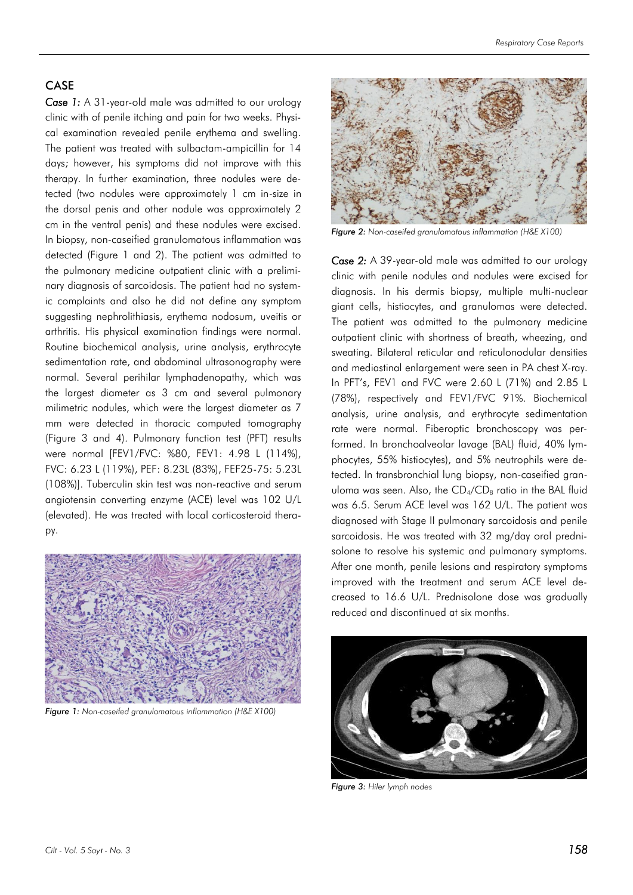### CASE

*Case 1:* A 31-year-old male was admitted to our urology clinic with of penile itching and pain for two weeks. Physical examination revealed penile erythema and swelling. The patient was treated with sulbactam-ampicillin for 14 days; however, his symptoms did not improve with this therapy. In further examination, three nodules were detected (two nodules were approximately 1 cm in-size in the dorsal penis and other nodule was approximately 2 cm in the ventral penis) and these nodules were excised. In biopsy, non-caseified granulomatous inflammation was detected (Figure 1 and 2). The patient was admitted to the pulmonary medicine outpatient clinic with a preliminary diagnosis of sarcoidosis. The patient had no systemic complaints and also he did not define any symptom suggesting nephrolithiasis, erythema nodosum, uveitis or arthritis. His physical examination findings were normal. Routine biochemical analysis, urine analysis, erythrocyte sedimentation rate, and abdominal ultrasonography were normal. Several perihilar lymphadenopathy, which was the largest diameter as 3 cm and several pulmonary milimetric nodules, which were the largest diameter as 7 mm were detected in thoracic computed tomography (Figure 3 and 4). Pulmonary function test (PFT) results were normal [FEV1/FVC: %80, FEV1: 4.98 L (114%), FVC: 6.23 L (119%), PEF: 8.23L (83%), FEF25-75: 5.23L (108%)]. Tuberculin skin test was non-reactive and serum angiotensin converting enzyme (ACE) level was 102 U/L (elevated). He was treated with local corticosteroid therapy.



*Figure 1: Non-caseifed granulomatous inflammation (H&E X100)*



*Figure 2: Non-caseifed granulomatous inflammation (H&E X100)*

*Case 2:* A 39-year-old male was admitted to our urology clinic with penile nodules and nodules were excised for diagnosis. In his dermis biopsy, multiple multi-nuclear giant cells, histiocytes, and granulomas were detected. The patient was admitted to the pulmonary medicine outpatient clinic with shortness of breath, wheezing, and sweating. Bilateral reticular and reticulonodular densities and mediastinal enlargement were seen in PA chest X-ray. In PFT's, FEV1 and FVC were 2.60 L (71%) and 2.85 L (78%), respectively and FEV1/FVC 91%. Biochemical analysis, urine analysis, and erythrocyte sedimentation rate were normal. Fiberoptic bronchoscopy was performed. In bronchoalveolar lavage (BAL) fluid, 40% lymphocytes, 55% histiocytes), and 5% neutrophils were detected. In transbronchial lung biopsy, non-caseified granuloma was seen. Also, the  $CD_4/CD_8$  ratio in the BAL fluid was 6.5. Serum ACE level was 162 U/L. The patient was diagnosed with Stage II pulmonary sarcoidosis and penile sarcoidosis. He was treated with 32 mg/day oral prednisolone to resolve his systemic and pulmonary symptoms. After one month, penile lesions and respiratory symptoms improved with the treatment and serum ACE level decreased to 16.6 U/L. Prednisolone dose was gradually reduced and discontinued at six months.



*Figure 3: Hiler lymph nodes*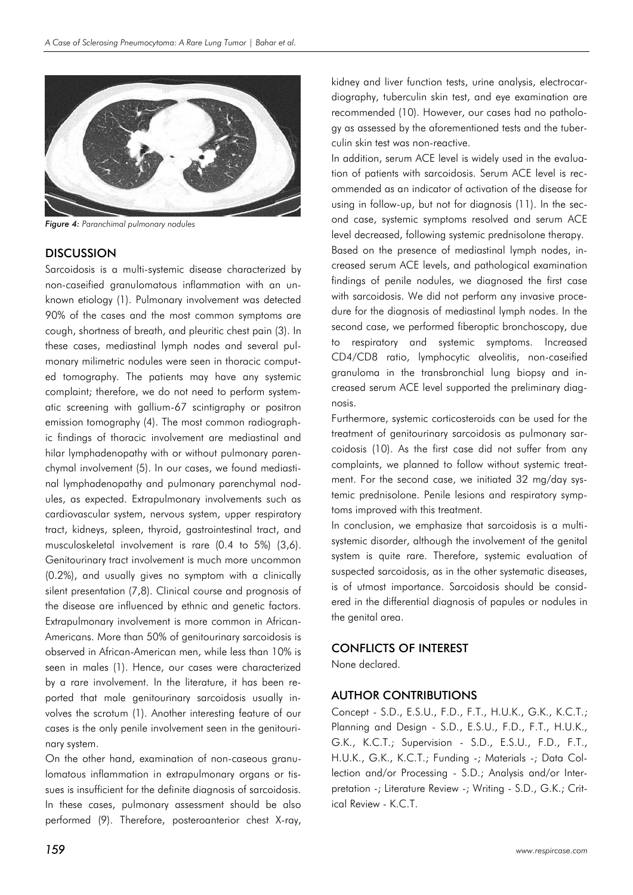

*Figure 4: Paranchimal pulmonary nodules*

### **DISCUSSION**

Sarcoidosis is a multi-systemic disease characterized by non-caseified granulomatous inflammation with an unknown etiology (1). Pulmonary involvement was detected 90% of the cases and the most common symptoms are cough, shortness of breath, and pleuritic chest pain (3). In these cases, mediastinal lymph nodes and several pulmonary milimetric nodules were seen in thoracic computed tomography. The patients may have any systemic complaint; therefore, we do not need to perform systematic screening with gallium-67 scintigraphy or positron emission tomography (4). The most common radiographic findings of thoracic involvement are mediastinal and hilar lymphadenopathy with or without pulmonary parenchymal involvement (5). In our cases, we found mediastinal lymphadenopathy and pulmonary parenchymal nodules, as expected. Extrapulmonary involvements such as cardiovascular system, nervous system, upper respiratory tract, kidneys, spleen, thyroid, gastrointestinal tract, and musculoskeletal involvement is rare (0.4 to 5%) (3,6). Genitourinary tract involvement is much more uncommon (0.2%), and usually gives no symptom with a clinically silent presentation (7,8). Clinical course and prognosis of the disease are influenced by ethnic and genetic factors. Extrapulmonary involvement is more common in African-Americans. More than 50% of genitourinary sarcoidosis is observed in African-American men, while less than 10% is seen in males (1). Hence, our cases were characterized by a rare involvement. In the literature, it has been reported that male genitourinary sarcoidosis usually involves the scrotum (1). Another interesting feature of our cases is the only penile involvement seen in the genitourinary system.

On the other hand, examination of non-caseous granulomatous inflammation in extrapulmonary organs or tissues is insufficient for the definite diagnosis of sarcoidosis. In these cases, pulmonary assessment should be also performed (9). Therefore, posteroanterior chest X-ray,

kidney and liver function tests, urine analysis, electrocardiography, tuberculin skin test, and eye examination are recommended (10). However, our cases had no pathology as assessed by the aforementioned tests and the tuberculin skin test was non-reactive.

In addition, serum ACE level is widely used in the evaluation of patients with sarcoidosis. Serum ACE level is recommended as an indicator of activation of the disease for using in follow-up, but not for diagnosis (11). In the second case, systemic symptoms resolved and serum ACE level decreased, following systemic prednisolone therapy. Based on the presence of mediastinal lymph nodes, increased serum ACE levels, and pathological examination findings of penile nodules, we diagnosed the first case with sarcoidosis. We did not perform any invasive procedure for the diagnosis of mediastinal lymph nodes. In the second case, we performed fiberoptic bronchoscopy, due to respiratory and systemic symptoms. Increased CD4/CD8 ratio, lymphocytic alveolitis, non-caseified granuloma in the transbronchial lung biopsy and increased serum ACE level supported the preliminary diagnosis.

Furthermore, systemic corticosteroids can be used for the treatment of genitourinary sarcoidosis as pulmonary sarcoidosis (10). As the first case did not suffer from any complaints, we planned to follow without systemic treatment. For the second case, we initiated 32 mg/day systemic prednisolone. Penile lesions and respiratory symptoms improved with this treatment.

In conclusion, we emphasize that sarcoidosis is a multisystemic disorder, although the involvement of the genital system is quite rare. Therefore, systemic evaluation of suspected sarcoidosis, as in the other systematic diseases, is of utmost importance. Sarcoidosis should be considered in the differential diagnosis of papules or nodules in the genital area.

### CONFLICTS OF INTEREST

None declared.

### AUTHOR CONTRIBUTIONS

Concept - S.D., E.S.U., F.D., F.T., H.U.K., G.K., K.C.T.; Planning and Design - S.D., E.S.U., F.D., F.T., H.U.K., G.K., K.C.T.; Supervision - S.D., E.S.U., F.D., F.T., H.U.K., G.K., K.C.T.; Funding -; Materials -; Data Collection and/or Processing - S.D.; Analysis and/or Interpretation -; Literature Review -; Writing - S.D., G.K.; Critical Review - K.C.T.